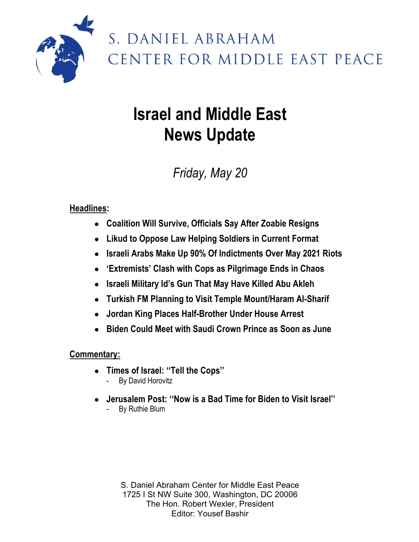

# S. DANIEL ABRAHAM CENTER FOR MIDDLE EAST PEACE

# **Israel and Middle East News Update**

# *Friday, May 20*

### **Headlines:**

- **Coalition Will Survive, Officials Say After Zoabie Resigns**
- **Likud to Oppose Law Helping Soldiers in Current Format**
- **Israeli Arabs Make Up 90% Of Indictments Over May 2021 Riots**
- **'Extremists' Clash with Cops as Pilgrimage Ends in Chaos**
- **Israeli Military Id's Gun That May Have Killed Abu Akleh**
- **Turkish FM Planning to Visit Temple Mount/Haram Al-Sharif**
- **Jordan King Places Half-Brother Under House Arrest**
- **Biden Could Meet with Saudi Crown Prince as Soon as June**

### **Commentary:**

- **Times of Israel: ''Tell the Cops''** - By David Horovitz
- **Jerusalem Post: ''Now is a Bad Time for Biden to Visit Israel''**
	- By Ruthie Blum

S. Daniel Abraham Center for Middle East Peace 1725 I St NW Suite 300, Washington, DC 20006 The Hon. Robert Wexler, President Editor: Yousef Bashir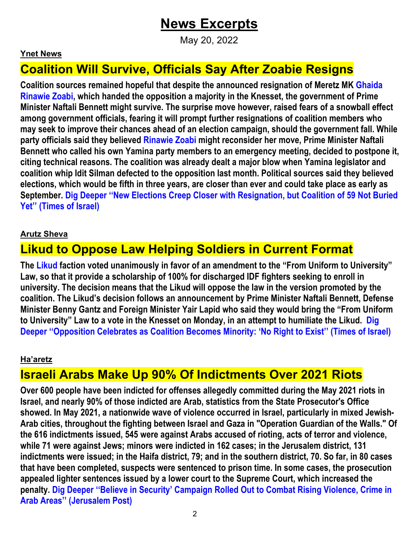## **News Excerpts**

May 20, 2022

#### **Ynet News**

### **Coalition Will Survive, Officials Say After Zoabie Resigns**

**Coalition sources remained hopeful that despite the announced resignation of Meretz MK Ghaida Rinawie Zoabi, which handed the opposition a majority in the Knesset, the government of Prime Minister Naftali Bennett might survive. The surprise move however, raised fears of a snowball effect among government officials, fearing it will prompt further resignations of coalition members who may seek to improve their chances ahead of an election campaign, should the government fall. While party officials said they believed Rinawie Zoabi might reconsider her move, Prime Minister Naftali Bennett who called his own Yamina party members to an emergency meeting, decided to postpone it, citing technical reasons. The coalition was already dealt a major blow when Yamina legislator and coalition whip Idit Silman defected to the opposition last month. Political sources said they believed elections, which would be fifth in three years, are closer than ever and could take place as early as September. Dig Deeper ''New Elections Creep Closer with Resignation, but Coalition of 59 Not Buried Yet'' (Times of Israel)**

#### **Arutz Sheva**

### **Likud to Oppose Law Helping Soldiers in Current Format**

**The Likud faction voted unanimously in favor of an amendment to the "From Uniform to University" Law, so that it provide a scholarship of 100% for discharged IDF fighters seeking to enroll in university. The decision means that the Likud will oppose the law in the version promoted by the coalition. The Likud's decision follows an announcement by Prime Minister Naftali Bennett, Defense Minister Benny Gantz and Foreign Minister Yair Lapid who said they would bring the "From Uniform to University" Law to a vote in the Knesset on Monday, in an attempt to humiliate the Likud. Dig Deeper ''Opposition Celebrates as Coalition Becomes Minority: 'No Right to Exist'' (Times of Israel)**

#### **Ha'aretz**

### **Israeli Arabs Make Up 90% Of Indictments Over 2021 Riots**

**Over 600 people have been indicted for offenses allegedly committed during the May 2021 riots in Israel, and nearly 90% of those indicted are Arab, statistics from the State Prosecutor's Office showed. In May 2021, a nationwide wave of violence occurred in Israel, particularly in mixed Jewish-Arab cities, throughout the fighting between Israel and Gaza in "Operation Guardian of the Walls." Of the 616 indictments issued, 545 were against Arabs accused of rioting, acts of terror and violence, while 71 were against Jews; minors were indicted in 162 cases; in the Jerusalem district, 131 indictments were issued; in the Haifa district, 79; and in the southern district, 70. So far, in 80 cases that have been completed, suspects were sentenced to prison time. In some cases, the prosecution appealed lighter sentences issued by a lower court to the Supreme Court, which increased the penalty. Dig Deeper ''Believe in Security' Campaign Rolled Out to Combat Rising Violence, Crime in Arab Areas'' (Jerusalem Post)**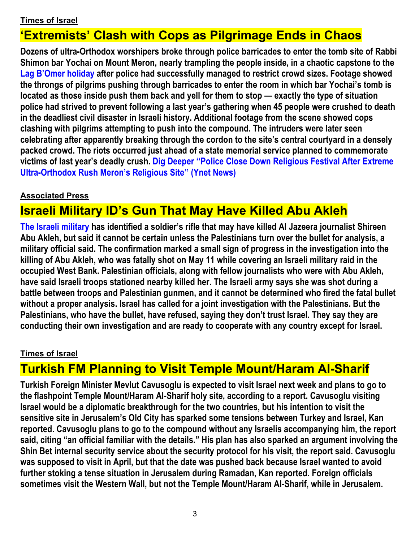#### **Times of Israel**

### **'Extremists' Clash with Cops as Pilgrimage Ends in Chaos**

**Dozens of ultra-Orthodox worshipers broke through police barricades to enter the tomb site of Rabbi Shimon bar Yochai on Mount Meron, nearly trampling the people inside, in a chaotic capstone to the Lag B'Omer holiday after police had successfully managed to restrict crowd sizes. Footage showed the throngs of pilgrims pushing through barricades to enter the room in which bar Yochai's tomb is located as those inside push them back and yell for them to stop — exactly the type of situation police had strived to prevent following a last year's gathering when 45 people were crushed to death in the deadliest civil disaster in Israeli history. Additional footage from the scene showed cops clashing with pilgrims attempting to push into the compound. The intruders were later seen celebrating after apparently breaking through the cordon to the site's central courtyard in a densely packed crowd. The riots occurred just ahead of a state memorial service planned to commemorate victims of last year's deadly crush. Dig Deeper ''Police Close Down Religious Festival After Extreme Ultra-Orthodox Rush Meron's Religious Site'' (Ynet News)**

#### **Associated Press**

### **Israeli Military ID's Gun That May Have Killed Abu Akleh**

**The Israeli military has identified a soldier's rifle that may have killed Al Jazeera journalist Shireen Abu Akleh, but said it cannot be certain unless the Palestinians turn over the bullet for analysis, a military official said. The confirmation marked a small sign of progress in the investigation into the killing of Abu Akleh, who was fatally shot on May 11 while covering an Israeli military raid in the occupied West Bank. Palestinian officials, along with fellow journalists who were with Abu Akleh, have said Israeli troops stationed nearby killed her. The Israeli army says she was shot during a battle between troops and Palestinian gunmen, and it cannot be determined who fired the fatal bullet without a proper analysis. Israel has called for a joint investigation with the Palestinians. But the Palestinians, who have the bullet, have refused, saying they don't trust Israel. They say they are conducting their own investigation and are ready to cooperate with any country except for Israel.**

#### **Times of Israel**

### **Turkish FM Planning to Visit Temple Mount/Haram Al-Sharif**

**Turkish Foreign Minister Mevlut Cavusoglu is expected to visit Israel next week and plans to go to the flashpoint Temple Mount/Haram Al-Sharif holy site, according to a report. Cavusoglu visiting Israel would be a diplomatic breakthrough for the two countries, but his intention to visit the sensitive site in Jerusalem's Old City has sparked some tensions between Turkey and Israel, Kan reported. Cavusoglu plans to go to the compound without any Israelis accompanying him, the report said, citing "an official familiar with the details." His plan has also sparked an argument involving the Shin Bet internal security service about the security protocol for his visit, the report said. Cavusoglu was supposed to visit in April, but that the date was pushed back because Israel wanted to avoid further stoking a tense situation in Jerusalem during Ramadan, Kan reported. Foreign officials sometimes visit the Western Wall, but not the Temple Mount/Haram Al-Sharif, while in Jerusalem.**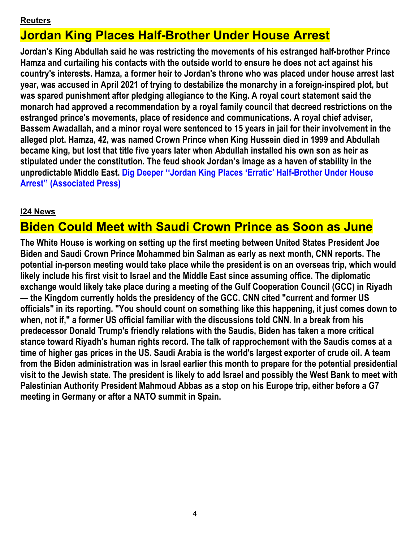#### **Reuters**

## **Jordan King Places Half-Brother Under House Arrest**

**Jordan's King Abdullah said he was restricting the movements of his estranged half-brother Prince Hamza and curtailing his contacts with the outside world to ensure he does not act against his country's interests. Hamza, a former heir to Jordan's throne who was placed under house arrest last year, was accused in April 2021 of trying to destabilize the monarchy in a foreign-inspired plot, but was spared punishment after pledging allegiance to the King. A royal court statement said the monarch had approved a recommendation by a royal family council that decreed restrictions on the estranged prince's movements, place of residence and communications. A royal chief adviser, Bassem Awadallah, and a minor royal were sentenced to 15 years in jail for their involvement in the alleged plot. Hamza, 42, was named Crown Prince when King Hussein died in 1999 and Abdullah became king, but lost that title five years later when Abdullah installed his own son as heir as stipulated under the constitution. The feud shook Jordan's image as a haven of stability in the unpredictable Middle East. Dig Deeper ''Jordan King Places 'Erratic' Half-Brother Under House Arrest'' (Associated Press)**

#### **I24 News**

### **Biden Could Meet with Saudi Crown Prince as Soon as June**

**The White House is working on setting up the first meeting between United States President Joe Biden and Saudi Crown Prince Mohammed bin Salman as early as next month, CNN reports. The potential in-person meeting would take place while the president is on an overseas trip, which would likely include his first visit to Israel and the Middle East since assuming office. The diplomatic exchange would likely take place during a meeting of the Gulf Cooperation Council (GCC) in Riyadh — the Kingdom currently holds the presidency of the GCC. CNN cited "current and former US officials" in its reporting. "You should count on something like this happening, it just comes down to when, not if," a former US official familiar with the discussions told CNN. In a break from his predecessor Donald Trump's friendly relations with the Saudis, Biden has taken a more critical stance toward Riyadh's human rights record. The talk of rapprochement with the Saudis comes at a time of higher gas prices in the US. Saudi Arabia is the world's largest exporter of crude oil. A team from the Biden administration was in Israel earlier this month to prepare for the potential presidential visit to the Jewish state. The president is likely to add Israel and possibly the West Bank to meet with Palestinian Authority President Mahmoud Abbas as a stop on his Europe trip, either before a G7 meeting in Germany or after a NATO summit in Spain.**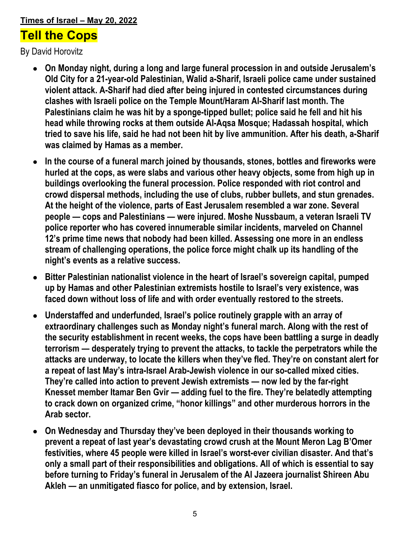#### **Times of Israel – May 20, 2022**

### **Tell the Cops**

By David Horovitz

- **On Monday night, during a long and large funeral procession in and outside Jerusalem's Old City for a 21-year-old Palestinian, Walid a-Sharif, Israeli police came under sustained violent attack. A-Sharif had died after being injured in contested circumstances during clashes with Israeli police on the Temple Mount/Haram Al-Sharif last month. The Palestinians claim he was hit by a sponge-tipped bullet; police said he fell and hit his head while throwing rocks at them outside Al-Aqsa Mosque; Hadassah hospital, which tried to save his life, said he had not been hit by live ammunition. After his death, a-Sharif was claimed by Hamas as a member.**
- **In the course of a funeral march joined by thousands, stones, bottles and fireworks were hurled at the cops, as were slabs and various other heavy objects, some from high up in buildings overlooking the funeral procession. Police responded with riot control and crowd dispersal methods, including the use of clubs, rubber bullets, and stun grenades. At the height of the violence, parts of East Jerusalem resembled a war zone. Several people — cops and Palestinians — were injured. Moshe Nussbaum, a veteran Israeli TV police reporter who has covered innumerable similar incidents, marveled on Channel 12's prime time news that nobody had been killed. Assessing one more in an endless stream of challenging operations, the police force might chalk up its handling of the night's events as a relative success.**
- **Bitter Palestinian nationalist violence in the heart of Israel's sovereign capital, pumped up by Hamas and other Palestinian extremists hostile to Israel's very existence, was faced down without loss of life and with order eventually restored to the streets.**
- Understaffed and underfunded, Israel's police routinely grapple with an array of **extraordinary challenges such as Monday night's funeral march. Along with the rest of the security establishment in recent weeks, the cops have been battling a surge in deadly terrorism — desperately trying to prevent the attacks, to tackle the perpetrators while the attacks are underway, to locate the killers when they've fled. They're on constant alert for a repeat of last May's intra-Israel Arab-Jewish violence in our so-called mixed cities. They're called into action to prevent Jewish extremists — now led by the far-right Knesset member Itamar Ben Gvir — adding fuel to the fire. They're belatedly attempting to crack down on organized crime, "honor killings" and other murderous horrors in the Arab sector.**
- **On Wednesday and Thursday they've been deployed in their thousands working to prevent a repeat of last year's devastating crowd crush at the Mount Meron Lag B'Omer festivities, where 45 people were killed in Israel's worst-ever civilian disaster. And that's only a small part of their responsibilities and obligations. All of which is essential to say before turning to Friday's funeral in Jerusalem of the Al Jazeera journalist Shireen Abu Akleh — an unmitigated fiasco for police, and by extension, Israel.**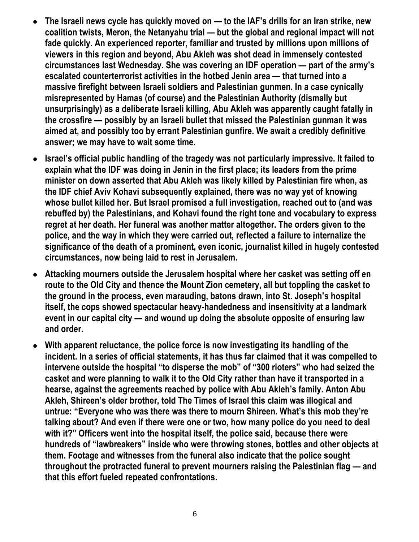- **The Israeli news cycle has quickly moved on — to the IAF's drills for an Iran strike, new coalition twists, Meron, the Netanyahu trial — but the global and regional impact will not fade quickly. An experienced reporter, familiar and trusted by millions upon millions of viewers in this region and beyond, Abu Akleh was shot dead in immensely contested circumstances last Wednesday. She was covering an IDF operation — part of the army's escalated counterterrorist activities in the hotbed Jenin area — that turned into a massive firefight between Israeli soldiers and Palestinian gunmen. In a case cynically misrepresented by Hamas (of course) and the Palestinian Authority (dismally but unsurprisingly) as a deliberate Israeli killing, Abu Akleh was apparently caught fatally in the crossfire — possibly by an Israeli bullet that missed the Palestinian gunman it was aimed at, and possibly too by errant Palestinian gunfire. We await a credibly definitive answer; we may have to wait some time.**
- **Israel's official public handling of the tragedy was not particularly impressive. It failed to explain what the IDF was doing in Jenin in the first place; its leaders from the prime minister on down asserted that Abu Akleh was likely killed by Palestinian fire when, as the IDF chief Aviv Kohavi subsequently explained, there was no way yet of knowing whose bullet killed her. But Israel promised a full investigation, reached out to (and was rebuffed by) the Palestinians, and Kohavi found the right tone and vocabulary to express regret at her death. Her funeral was another matter altogether. The orders given to the police, and the way in which they were carried out, reflected a failure to internalize the significance of the death of a prominent, even iconic, journalist killed in hugely contested circumstances, now being laid to rest in Jerusalem.**
- **Attacking mourners outside the Jerusalem hospital where her casket was setting off en route to the Old City and thence the Mount Zion cemetery, all but toppling the casket to the ground in the process, even marauding, batons drawn, into St. Joseph's hospital itself, the cops showed spectacular heavy-handedness and insensitivity at a landmark event in our capital city — and wound up doing the absolute opposite of ensuring law and order.**
- **With apparent reluctance, the police force is now investigating its handling of the incident. In a series of official statements, it has thus far claimed that it was compelled to intervene outside the hospital "to disperse the mob" of "300 rioters" who had seized the casket and were planning to walk it to the Old City rather than have it transported in a hearse, against the agreements reached by police with Abu Akleh's family. Anton Abu Akleh, Shireen's older brother, told The Times of Israel this claim was illogical and untrue: "Everyone who was there was there to mourn Shireen. What's this mob they're talking about? And even if there were one or two, how many police do you need to deal with it?" Officers went into the hospital itself, the police said, because there were hundreds of "lawbreakers" inside who were throwing stones, bottles and other objects at them. Footage and witnesses from the funeral also indicate that the police sought throughout the protracted funeral to prevent mourners raising the Palestinian flag — and that this effort fueled repeated confrontations.**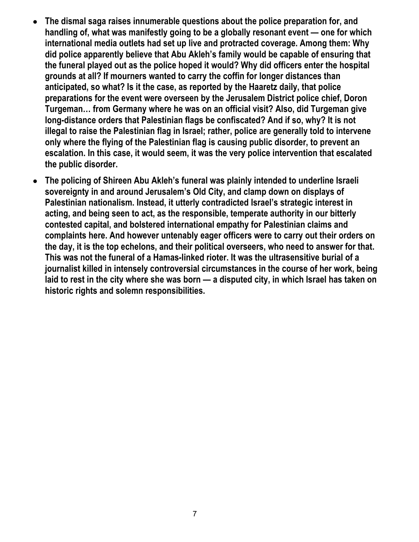- **The dismal saga raises innumerable questions about the police preparation for, and handling of, what was manifestly going to be a globally resonant event — one for which international media outlets had set up live and protracted coverage. Among them: Why did police apparently believe that Abu Akleh's family would be capable of ensuring that the funeral played out as the police hoped it would? Why did officers enter the hospital grounds at all? If mourners wanted to carry the coffin for longer distances than anticipated, so what? Is it the case, as reported by the Haaretz daily, that police preparations for the event were overseen by the Jerusalem District police chief, Doron Turgeman… from Germany where he was on an official visit? Also, did Turgeman give long-distance orders that Palestinian flags be confiscated? And if so, why? It is not illegal to raise the Palestinian flag in Israel; rather, police are generally told to intervene only where the flying of the Palestinian flag is causing public disorder, to prevent an escalation. In this case, it would seem, it was the very police intervention that escalated the public disorder.**
- **The policing of Shireen Abu Akleh's funeral was plainly intended to underline Israeli sovereignty in and around Jerusalem's Old City, and clamp down on displays of Palestinian nationalism. Instead, it utterly contradicted Israel's strategic interest in acting, and being seen to act, as the responsible, temperate authority in our bitterly contested capital, and bolstered international empathy for Palestinian claims and complaints here. And however untenably eager officers were to carry out their orders on the day, it is the top echelons, and their political overseers, who need to answer for that. This was not the funeral of a Hamas-linked rioter. It was the ultrasensitive burial of a journalist killed in intensely controversial circumstances in the course of her work, being laid to rest in the city where she was born — a disputed city, in which Israel has taken on historic rights and solemn responsibilities.**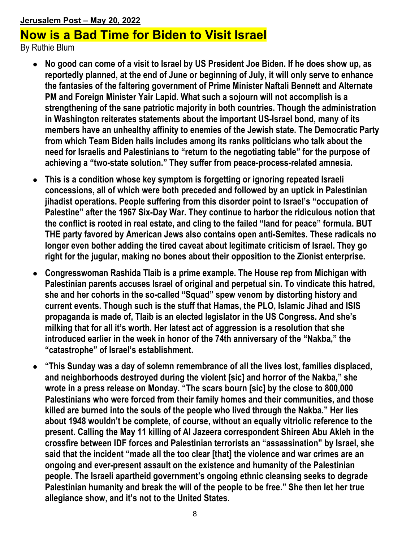### **Jerusalem Post – May 20, 2022 Now is a Bad Time for Biden to Visit Israel**

By Ruthie Blum

- **No good can come of a visit to Israel by US President Joe Biden. If he does show up, as reportedly planned, at the end of June or beginning of July, it will only serve to enhance the fantasies of the faltering government of Prime Minister Naftali Bennett and Alternate PM and Foreign Minister Yair Lapid. What such a sojourn will not accomplish is a strengthening of the sane patriotic majority in both countries. Though the administration in Washington reiterates statements about the important US-Israel bond, many of its members have an unhealthy affinity to enemies of the Jewish state. The Democratic Party from which Team Biden hails includes among its ranks politicians who talk about the need for Israelis and Palestinians to "return to the negotiating table" for the purpose of achieving a "two-state solution." They suffer from peace-process-related amnesia.**
- **This is a condition whose key symptom is forgetting or ignoring repeated Israeli concessions, all of which were both preceded and followed by an uptick in Palestinian jihadist operations. People suffering from this disorder point to Israel's "occupation of Palestine" after the 1967 Six-Day War. They continue to harbor the ridiculous notion that the conflict is rooted in real estate, and cling to the failed "land for peace" formula. BUT THE party favored by American Jews also contains open anti-Semites. These radicals no longer even bother adding the tired caveat about legitimate criticism of Israel. They go right for the jugular, making no bones about their opposition to the Zionist enterprise.**
- **Congresswoman Rashida Tlaib is a prime example. The House rep from Michigan with Palestinian parents accuses Israel of original and perpetual sin. To vindicate this hatred, she and her cohorts in the so-called "Squad" spew venom by distorting history and current events. Though such is the stuff that Hamas, the PLO, Islamic Jihad and ISIS propaganda is made of, Tlaib is an elected legislator in the US Congress. And she's milking that for all it's worth. Her latest act of aggression is a resolution that she introduced earlier in the week in honor of the 74th anniversary of the "Nakba," the "catastrophe" of Israel's establishment.**
- **"This Sunday was a day of solemn remembrance of all the lives lost, families displaced, and neighborhoods destroyed during the violent [sic] and horror of the Nakba," she wrote in a press release on Monday. "The scars bourn [sic] by the close to 800,000 Palestinians who were forced from their family homes and their communities, and those killed are burned into the souls of the people who lived through the Nakba." Her lies about 1948 wouldn't be complete, of course, without an equally vitriolic reference to the present. Calling the May 11 killing of Al Jazeera correspondent Shireen Abu Akleh in the crossfire between IDF forces and Palestinian terrorists an "assassination" by Israel, she said that the incident "made all the too clear [that] the violence and war crimes are an ongoing and ever-present assault on the existence and humanity of the Palestinian people. The Israeli apartheid government's ongoing ethnic cleansing seeks to degrade Palestinian humanity and break the will of the people to be free." She then let her true allegiance show, and it's not to the United States.**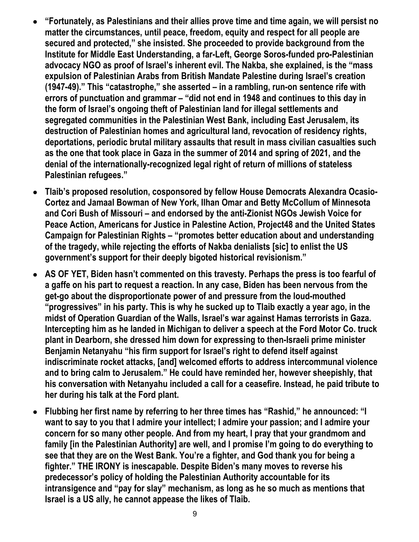- **"Fortunately, as Palestinians and their allies prove time and time again, we will persist no matter the circumstances, until peace, freedom, equity and respect for all people are secured and protected," she insisted. She proceeded to provide background from the Institute for Middle East Understanding, a far-Left, George Soros-funded pro-Palestinian advocacy NGO as proof of Israel's inherent evil. The Nakba, she explained, is the "mass expulsion of Palestinian Arabs from British Mandate Palestine during Israel's creation (1947-49)." This "catastrophe," she asserted – in a rambling, run-on sentence rife with errors of punctuation and grammar – "did not end in 1948 and continues to this day in the form of Israel's ongoing theft of Palestinian land for illegal settlements and segregated communities in the Palestinian West Bank, including East Jerusalem, its destruction of Palestinian homes and agricultural land, revocation of residency rights, deportations, periodic brutal military assaults that result in mass civilian casualties such as the one that took place in Gaza in the summer of 2014 and spring of 2021, and the denial of the internationally-recognized legal right of return of millions of stateless Palestinian refugees."**
- **Tlaib's proposed resolution, cosponsored by fellow House Democrats Alexandra Ocasio-Cortez and Jamaal Bowman of New York, Ilhan Omar and Betty McCollum of Minnesota and Cori Bush of Missouri – and endorsed by the anti-Zionist NGOs Jewish Voice for Peace Action, Americans for Justice in Palestine Action, Project48 and the United States Campaign for Palestinian Rights – "promotes better education about and understanding of the tragedy, while rejecting the efforts of Nakba denialists [sic] to enlist the US government's support for their deeply bigoted historical revisionism."**
- **AS OF YET, Biden hasn't commented on this travesty. Perhaps the press is too fearful of a gaffe on his part to request a reaction. In any case, Biden has been nervous from the get-go about the disproportionate power of and pressure from the loud-mouthed "progressives" in his party. This is why he sucked up to Tlaib exactly a year ago, in the midst of Operation Guardian of the Walls, Israel's war against Hamas terrorists in Gaza. Intercepting him as he landed in Michigan to deliver a speech at the Ford Motor Co. truck plant in Dearborn, she dressed him down for expressing to then-Israeli prime minister Benjamin Netanyahu "his firm support for Israel's right to defend itself against indiscriminate rocket attacks, [and] welcomed efforts to address intercommunal violence and to bring calm to Jerusalem." He could have reminded her, however sheepishly, that his conversation with Netanyahu included a call for a ceasefire. Instead, he paid tribute to her during his talk at the Ford plant.**
- **Flubbing her first name by referring to her three times has "Rashid," he announced: "I want to say to you that I admire your intellect; I admire your passion; and I admire your concern for so many other people. And from my heart, I pray that your grandmom and family [in the Palestinian Authority] are well, and I promise I'm going to do everything to see that they are on the West Bank. You're a fighter, and God thank you for being a fighter." THE IRONY is inescapable. Despite Biden's many moves to reverse his predecessor's policy of holding the Palestinian Authority accountable for its intransigence and "pay for slay" mechanism, as long as he so much as mentions that Israel is a US ally, he cannot appease the likes of Tlaib.**